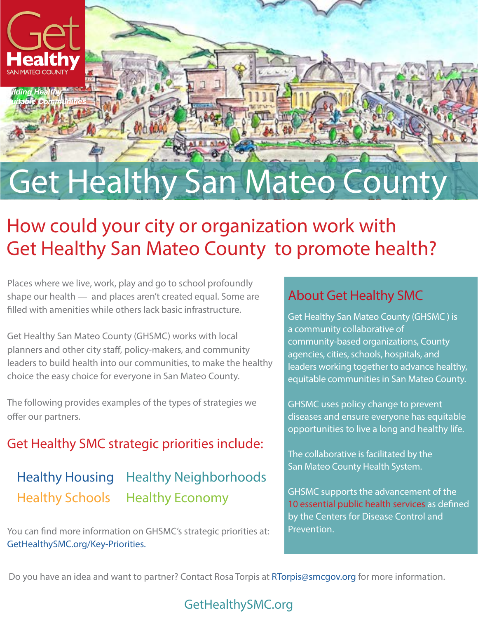

# Get Healthy San Mateo County

# How could your city or organization work with Get Healthy San Mateo County to promote health?

Places where we live, work, play and go to school profoundly shape our health — and places aren't created equal. Some are filled with amenities while others lack basic infrastructure.

Get Healthy San Mateo County (GHSMC) works with local planners and other city staff, policy-makers, and community leaders to build health into our communities, to make the healthy choice the easy choice for everyone in San Mateo County.

The following provides examples of the types of strategies we offer our partners.

#### Get Healthy SMC strategic priorities include:

#### [Healthy Housing](http://gethealthysmc.org/HealthyHousing) [Healthy Schools](http://gethealthysmc.org/HealthySchools) [Healthy Neighborhoods](http://gethealthysmc.org/healthyNeighborhoods) [Healthy Economy](http://gethealthysmc.org/HealthyEconomy)

You can find more information on GHSMC's strategic priorities at: [GetHealthySMC.org/Key-Priorities](http://www.gethealthysmc.org/key-priorities ).

#### About Get Healthy SMC

**Get Healthy San Mateo County (GHSMC) is** a community collaborative of community-based organizations, County agencies, cities, schools, hospitals, and leaders working together to advance healthy, equitable communities in San Mateo County.

GHSMC uses policy change to prevent diseases and ensure everyone has equitable opportunities to live a long and healthy life.

The collaborative is facilitated by the San Mateo County Health System.

GHSMC supports the advancement of the [10 essential public health services](http://www.cdc.gov/nphpsp/essentialservices.html) as defined by the Centers for Disease Control and Prevention.

Do you have an idea and want to partner? Contact Rosa Torpis at [RTorpis@smcgov.org f](mailto:%20RTorpis%40smcgov.org%20?subject=)or more information.

#### [GetHealthySMC.org](http://www.GetHealthySMC.org)